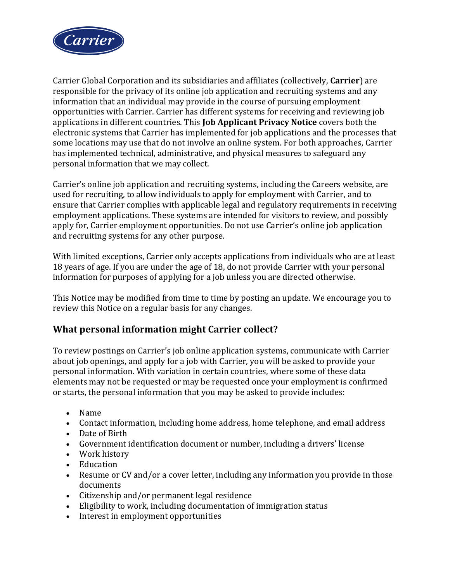

Carrier Global Corporation and its subsidiaries and affiliates (collectively, **Carrier**) are responsible for the privacy of its online job application and recruiting systems and any information that an individual may provide in the course of pursuing employment opportunities with Carrier. Carrier has different systems for receiving and reviewing job applications in different countries. This **Job Applicant Privacy Notice** covers both the electronic systems that Carrier has implemented for job applications and the processes that some locations may use that do not involve an online system. For both approaches, Carrier has implemented technical, administrative, and physical measures to safeguard any personal information that we may collect.

Carrier's online job application and recruiting systems, including the Careers website, are used for recruiting, to allow individuals to apply for employment with Carrier, and to ensure that Carrier complies with applicable legal and regulatory requirements in receiving employment applications. These systems are intended for visitors to review, and possibly apply for, Carrier employment opportunities. Do not use Carrier's online job application and recruiting systems for any other purpose.

With limited exceptions, Carrier only accepts applications from individuals who are at least 18 years of age. If you are under the age of 18, do not provide Carrier with your personal information for purposes of applying for a job unless you are directed otherwise.

This Notice may be modified from time to time by posting an update. We encourage you to review this Notice on a regular basis for any changes.

## **What personal information might Carrier collect?**

To review postings on Carrier's job online application systems, communicate with Carrier about job openings, and apply for a job with Carrier, you will be asked to provide your personal information. With variation in certain countries, where some of these data elements may not be requested or may be requested once your employment is confirmed or starts, the personal information that you may be asked to provide includes:

- Name
- Contact information, including home address, home telephone, and email address
- Date of Birth
- Government identification document or number, including a drivers' license
- Work history
- Education
- Resume or CV and/or a cover letter, including any information you provide in those documents
- Citizenship and/or permanent legal residence
- Eligibility to work, including documentation of immigration status
- Interest in employment opportunities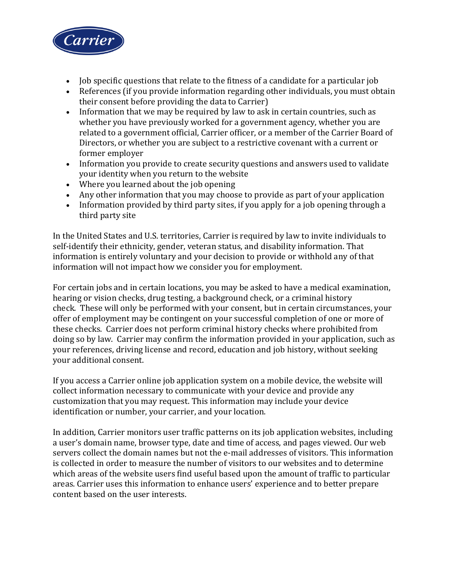

- Job specific questions that relate to the fitness of a candidate for a particular job
- References (if you provide information regarding other individuals, you must obtain their consent before providing the data to Carrier)
- Information that we may be required by law to ask in certain countries, such as whether you have previously worked for a government agency, whether you are related to a government official, Carrier officer, or a member of the Carrier Board of Directors, or whether you are subject to a restrictive covenant with a current or former employer
- Information you provide to create security questions and answers used to validate your identity when you return to the website
- Where you learned about the job opening
- Any other information that you may choose to provide as part of your application
- Information provided by third party sites, if you apply for a job opening through a third party site

In the United States and U.S. territories, Carrier is required by law to invite individuals to self-identify their ethnicity, gender, veteran status, and disability information. That information is entirely voluntary and your decision to provide or withhold any of that information will not impact how we consider you for employment.

For certain jobs and in certain locations, you may be asked to have a medical examination, hearing or vision checks, drug testing, a background check, or a criminal history check. These will only be performed with your consent, but in certain circumstances, your offer of employment may be contingent on your successful completion of one or more of these checks. Carrier does not perform criminal history checks where prohibited from doing so by law. Carrier may confirm the information provided in your application, such as your references, driving license and record, education and job history, without seeking your additional consent.

If you access a Carrier online job application system on a mobile device, the website will collect information necessary to communicate with your device and provide any customization that you may request. This information may include your device identification or number, your carrier, and your location.

In addition, Carrier monitors user traffic patterns on its job application websites, including a user's domain name, browser type, date and time of access, and pages viewed. Our web servers collect the domain names but not the e-mail addresses of visitors. This information is collected in order to measure the number of visitors to our websites and to determine which areas of the website users find useful based upon the amount of traffic to particular areas. Carrier uses this information to enhance users' experience and to better prepare content based on the user interests.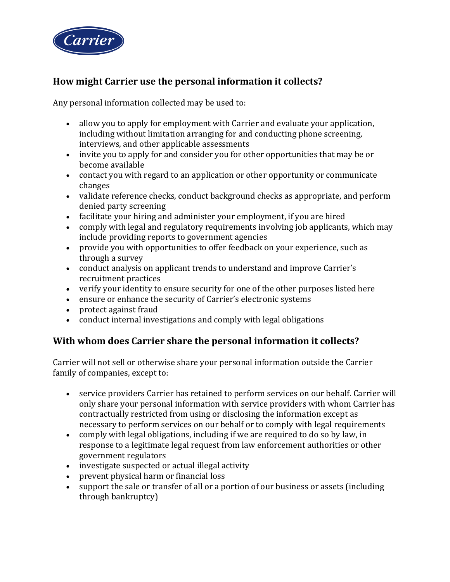

# **How might Carrier use the personal information it collects?**

Any personal information collected may be used to:

- allow you to apply for employment with Carrier and evaluate your application, including without limitation arranging for and conducting phone screening, interviews, and other applicable assessments
- invite you to apply for and consider you for other opportunities that may be or become available
- contact you with regard to an application or other opportunity or communicate changes
- validate reference checks, conduct background checks as appropriate, and perform denied party screening
- facilitate your hiring and administer your employment, if you are hired
- comply with legal and regulatory requirements involving job applicants, which may include providing reports to government agencies
- provide you with opportunities to offer feedback on your experience, such as through a survey
- conduct analysis on applicant trends to understand and improve Carrier's recruitment practices
- verify your identity to ensure security for one of the other purposes listed here
- ensure or enhance the security of Carrier's electronic systems
- protect against fraud
- conduct internal investigations and comply with legal obligations

# **With whom does Carrier share the personal information it collects?**

Carrier will not sell or otherwise share your personal information outside the Carrier family of companies, except to:

- service providers Carrier has retained to perform services on our behalf. Carrier will only share your personal information with service providers with whom Carrier has contractually restricted from using or disclosing the information except as necessary to perform services on our behalf or to comply with legal requirements
- comply with legal obligations, including if we are required to do so by law, in response to a legitimate legal request from law enforcement authorities or other government regulators
- investigate suspected or actual illegal activity
- prevent physical harm or financial loss
- support the sale or transfer of all or a portion of our business or assets (including through bankruptcy)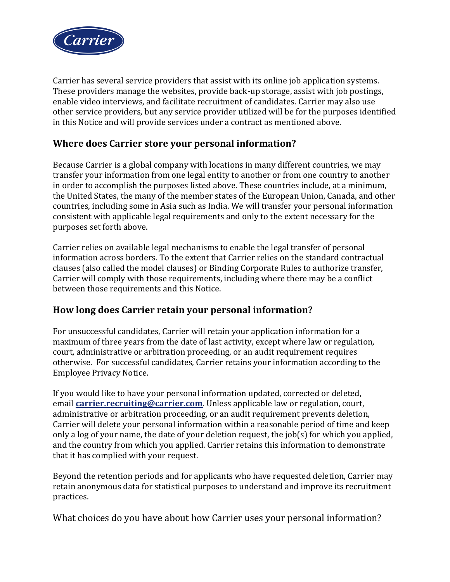

Carrier has several service providers that assist with its online job application systems. These providers manage the websites, provide back-up storage, assist with job postings, enable video interviews, and facilitate recruitment of candidates. Carrier may also use other service providers, but any service provider utilized will be for the purposes identified in this Notice and will provide services under a contract as mentioned above.

## **Where does Carrier store your personal information?**

Because Carrier is a global company with locations in many different countries, we may transfer your information from one legal entity to another or from one country to another in order to accomplish the purposes listed above. These countries include, at a minimum, the United States, the many of the member states of the European Union, Canada, and other countries, including some in Asia such as India. We will transfer your personal information consistent with applicable legal requirements and only to the extent necessary for the purposes set forth above.

Carrier relies on available legal mechanisms to enable the legal transfer of personal information across borders. To the extent that Carrier relies on the standard contractual clauses (also called the model clauses) or Binding Corporate Rules to authorize transfer, Carrier will comply with those requirements, including where there may be a conflict between those requirements and this Notice.

# **How long does Carrier retain your personal information?**

For unsuccessful candidates, Carrier will retain your application information for a maximum of three years from the date of last activity, except where law or regulation, court, administrative or arbitration proceeding, or an audit requirement requires otherwise. For successful candidates, Carrier retains your information according to the Employee Privacy Notice.

If you would like to have your personal information updated, corrected or deleted, email **[carrier.recruiting@carrier.com](mailto:carrier.recruiting@carrier.com)**. Unless applicable law or regulation, court, administrative or arbitration proceeding, or an audit requirement prevents deletion, Carrier will delete your personal information within a reasonable period of time and keep only a log of your name, the date of your deletion request, the job(s) for which you applied, and the country from which you applied. Carrier retains this information to demonstrate that it has complied with your request.

Beyond the retention periods and for applicants who have requested deletion, Carrier may retain anonymous data for statistical purposes to understand and improve its recruitment practices.

What choices do you have about how Carrier uses your personal information?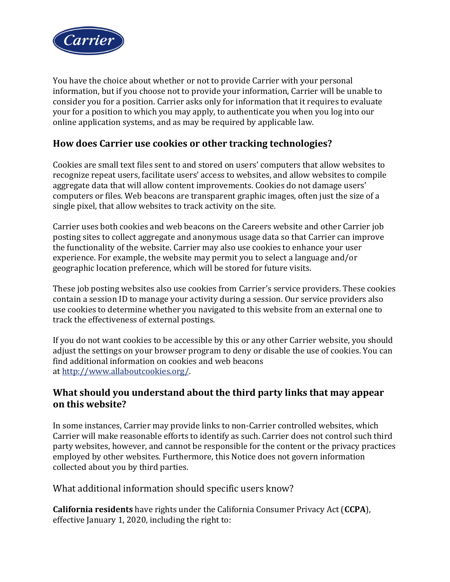

You have the choice about whether or not to provide Carrier with your personal information, but if you choose not to provide your information, Carrier will be unable to consider you for a position. Carrier asks only for information that it requires to evaluate your for a position to which you may apply, to authenticate you when you log into our online application systems, and as may be required by applicable law.

# **How does Carrier use cookies or other tracking technologies?**

Cookies are small text files sent to and stored on users' computers that allow websites to recognize repeat users, facilitate users' access to websites, and allow websites to compile aggregate data that will allow content improvements. Cookies do not damage users' computers or files. Web beacons are transparent graphic images, often just the size of a single pixel, that allow websites to track activity on the site.

Carrier uses both cookies and web beacons on the Careers website and other Carrier job posting sites to collect aggregate and anonymous usage data so that Carrier can improve the functionality of the website. Carrier may also use cookies to enhance your user experience. For example, the website may permit you to select a language and/or geographic location preference, which will be stored for future visits.

These job posting websites also use cookies from Carrier's service providers. These cookies contain a session ID to manage your activity during a session. Our service providers also use cookies to determine whether you navigated to this website from an external one to track the effectiveness of external postings.

If you do not want cookies to be accessible by this or any other Carrier website, you should adjust the settings on your browser program to deny or disable the use of cookies. You can find additional information on cookies and web beacons at [http://www.allaboutcookies.org/.](http://www.allaboutcookies.org/)

## **What should you understand about the third party links that may appear on this website?**

In some instances, Carrier may provide links to non-Carrier controlled websites, which Carrier will make reasonable efforts to identify as such. Carrier does not control such third party websites, however, and cannot be responsible for the content or the privacy practices employed by other websites. Furthermore, this Notice does not govern information collected about you by third parties.

## What additional information should specific users know?

**California residents** have rights under the California Consumer Privacy Act (**CCPA**), effective January 1, 2020, including the right to: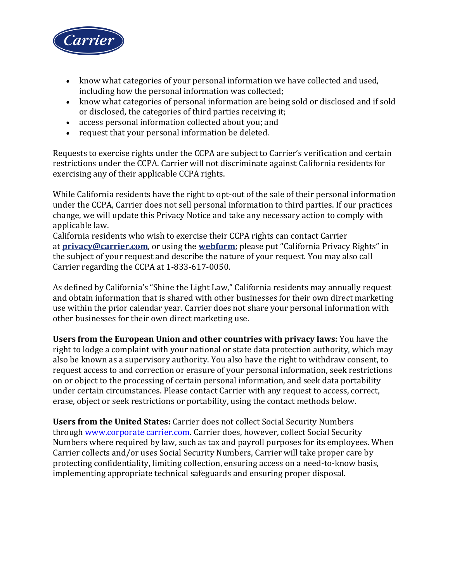

- know what categories of your personal information we have collected and used, including how the personal information was collected;
- know what categories of personal information are being sold or disclosed and if sold or disclosed, the categories of third parties receiving it;
- access personal information collected about you; and
- request that your personal information be deleted.

Requests to exercise rights under the CCPA are subject to Carrier's verification and certain restrictions under the CCPA. Carrier will not discriminate against California residents for exercising any of their applicable CCPA rights.

While California residents have the right to opt-out of the sale of their personal information under the CCPA, Carrier does not sell personal information to third parties. If our practices change, we will update this Privacy Notice and take any necessary action to comply with applicable law.

California residents who wish to exercise their CCPA rights can contact Carrier at **[privacy@carrier.com](mailto:privacy@carrier.com)**, or using the **[webform](https://www.corporate.carrier.com/legal/ccpa-form/)**; please put "California Privacy Rights" in the subject of your request and describe the nature of your request. You may also call Carrier regarding the CCPA at 1-833-617-0050.

As defined by California's "Shine the Light Law," California residents may annually request and obtain information that is shared with other businesses for their own direct marketing use within the prior calendar year. Carrier does not share your personal information with other businesses for their own direct marketing use.

**Users from the European Union and other countries with privacy laws:** You have the right to lodge a complaint with your national or state data protection authority, which may also be known as a supervisory authority. You also have the right to withdraw consent, to request access to and correction or erasure of your personal information, seek restrictions on or object to the processing of certain personal information, and seek data portability under certain circumstances. Please contact Carrier with any request to access, correct, erase, object or seek restrictions or portability, using the contact methods below.

**Users from the United States:** Carrier does not collect Social Security Numbers through www.corporate carrier.com. Carrier does, however, collect Social Security Numbers where required by law, such as tax and payroll purposes for its employees. When Carrier collects and/or uses Social Security Numbers, Carrier will take proper care by protecting confidentiality, limiting collection, ensuring access on a need-to-know basis, implementing appropriate technical safeguards and ensuring proper disposal.